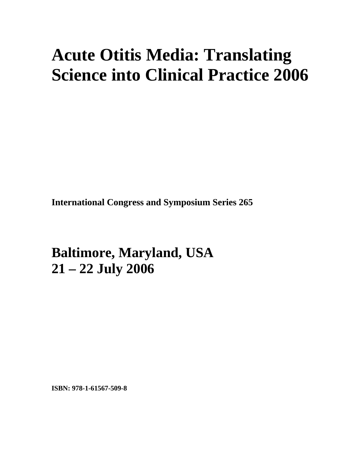# **Acute Otitis Media: Translating Science into Clinical Practice 2006**

**International Congress and Symposium Series 265** 

**Baltimore, Maryland, USA 21 – 22 July 2006**

**ISBN: 978-1-61567-509-8**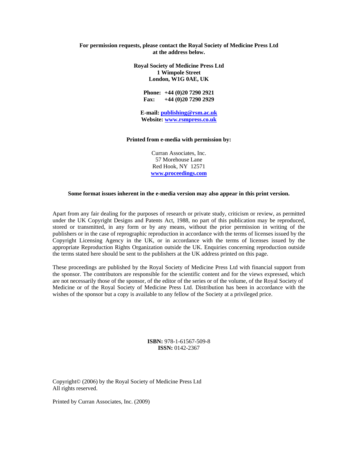## **For permission requests, please contact the Royal Society of Medicine Press Ltd at the address below.**

**Royal Society of Medicine Press Ltd 1 Wimpole Street London, W1G 0AE, UK** 

> **Phone: +44 (0)20 7290 2921 Fax: +44 (0)20 7290 2929**

**E-mail: [publishing@rsm.ac.uk](mailto:publishing@rsm.ac.uk) Website: [www.rsmpress.co.uk](http://www.rsmpress.co.uk/)**

#### **Printed from e-media with permission by:**

Curran Associates, Inc. 57 Morehouse Lane Red Hook, NY 12571 **[www.proceedings.com](http://www.proceedings.com/)**

#### **Some format issues inherent in the e-media version may also appear in this print version.**

Apart from any fair dealing for the purposes of research or private study, criticism or review, as permitted under the UK Copyright Designs and Patents Act, 1988, no part of this publication may be reproduced, stored or transmitted, in any form or by any means, without the prior permission in writing of the publishers or in the case of reprographic reproduction in accordance with the terms of licenses issued by the Copyright Licensing Agency in the UK, or in accordance with the terms of licenses issued by the appropriate Reproduction Rights Organization outside the UK. Enquiries concerning reproduction outside the terms stated here should be sent to the publishers at the UK address printed on this page.

These proceedings are published by the Royal Society of Medicine Press Ltd with financial support from the sponsor. The contributors are responsible for the scientific content and for the views expressed, which are not necessarily those of the sponsor, of the editor of the series or of the volume, of the Royal Society of Medicine or of the Royal Society of Medicine Press Ltd. Distribution has been in accordance with the wishes of the sponsor but a copy is available to any fellow of the Society at a privileged price.

> **ISBN:** 978-1-61567-509-8 **ISSN:** 0142-2367

Copyright© (2006) by the Royal Society of Medicine Press Ltd All rights reserved.

Printed by Curran Associates, Inc. (2009)